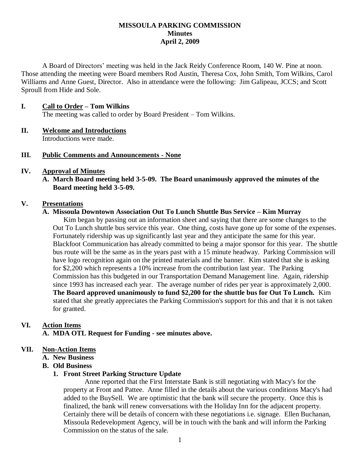## **MISSOULA PARKING COMMISSION Minutes April 2, 2009**

A Board of Directors' meeting was held in the Jack Reidy Conference Room, 140 W. Pine at noon. Those attending the meeting were Board members Rod Austin, Theresa Cox, John Smith, Tom Wilkins, Carol Williams and Anne Guest, Director. Also in attendance were the following: Jim Galipeau, JCCS; and Scott Sproull from Hide and Sole.

#### **I. Call to Order – Tom Wilkins**

The meeting was called to order by Board President – Tom Wilkins.

# **II. Welcome and Introductions**

Introductions were made.

## **III. Public Comments and Announcements - None**

## **IV. Approval of Minutes**

**A. March Board meeting held 3-5-09. The Board unanimously approved the minutes of the Board meeting held 3-5-09.**

#### **V. Presentations**

## **A. Missoula Downtown Association Out To Lunch Shuttle Bus Service – Kim Murray**

Kim began by passing out an information sheet and saying that there are some changes to the Out To Lunch shuttle bus service this year. One thing, costs have gone up for some of the expenses. Fortunately ridership was up significantly last year and they anticipate the same for this year. Blackfoot Communication has already committed to being a major sponsor for this year. The shuttle bus route will be the same as in the years past with a 15 minute headway. Parking Commission will have logo recognition again on the printed materials and the banner. Kim stated that she is asking for \$2,200 which represents a 10% increase from the contribution last year. The Parking Commission has this budgeted in our Transportation Demand Management line. Again, ridership since 1993 has increased each year. The average number of rides per year is approximately 2,000. **The Board approved unanimously to fund \$2,200 for the shuttle bus for Out To Lunch.** Kim stated that she greatly appreciates the Parking Commission's support for this and that it is not taken for granted.

#### **VI. Action Items**

**A. MDA OTL Request for Funding - see minutes above.**

## **VII. Non-Action Items**

- **A. New Business**
- **B. Old Business**

#### **1. Front Street Parking Structure Update**

Anne reported that the First Interstate Bank is still negotiating with Macy's for the property at Front and Pattee. Anne filled in the details about the various conditions Macy's had added to the BuySell. We are optimistic that the bank will secure the property. Once this is finalized, the bank will renew conversations with the Holiday Inn for the adjacent property. Certainly there will be details of concern with these negotiations i.e. signage. Ellen Buchanan, Missoula Redevelopment Agency, will be in touch with the bank and will inform the Parking Commission on the status of the sale.